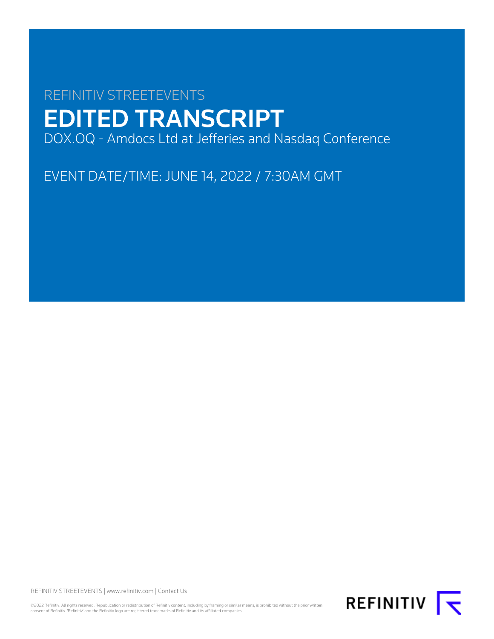# REFINITIV STREETEVENTS EDITED TRANSCRIPT DOX.OQ - Amdocs Ltd at Jefferies and Nasdaq Conference

EVENT DATE/TIME: JUNE 14, 2022 / 7:30AM GMT

REFINITIV STREETEVENTS | [www.refinitiv.com](https://www.refinitiv.com/) | [Contact Us](https://www.refinitiv.com/en/contact-us)

©2022 Refinitiv. All rights reserved. Republication or redistribution of Refinitiv content, including by framing or similar means, is prohibited without the prior written<br>consent of Refinitiv. 'Refinitiv' and the Refinitiv

REFINITIV **K**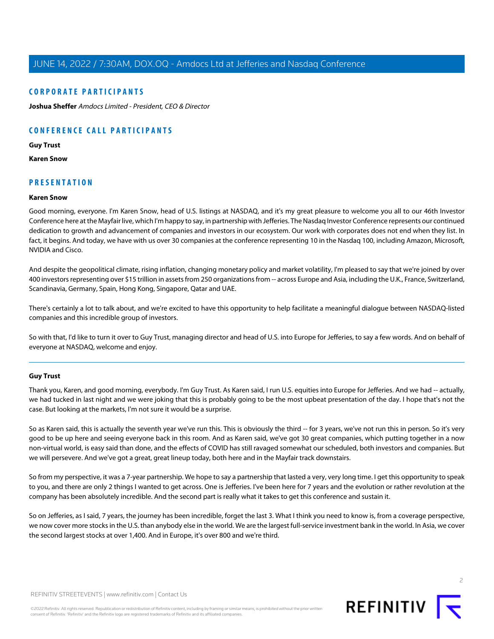# **CORPORATE PARTICIPANTS**

**[Joshua Sheffer](#page-2-0)** Amdocs Limited - President, CEO & Director

# **CONFERENCE CALL PARTICIPANTS**

#### **[Guy Trust](#page-1-0)**

**[Karen Snow](#page-1-1)**

# <span id="page-1-1"></span>**PRESENTATION**

### **Karen Snow**

Good morning, everyone. I'm Karen Snow, head of U.S. listings at NASDAQ, and it's my great pleasure to welcome you all to our 46th Investor Conference here at the Mayfair live, which I'm happy to say, in partnership with Jefferies. The Nasdaq Investor Conference represents our continued dedication to growth and advancement of companies and investors in our ecosystem. Our work with corporates does not end when they list. In fact, it begins. And today, we have with us over 30 companies at the conference representing 10 in the Nasdaq 100, including Amazon, Microsoft, NVIDIA and Cisco.

And despite the geopolitical climate, rising inflation, changing monetary policy and market volatility, I'm pleased to say that we're joined by over 400 investors representing over \$15 trillion in assets from 250 organizations from -- across Europe and Asia, including the U.K., France, Switzerland, Scandinavia, Germany, Spain, Hong Kong, Singapore, Qatar and UAE.

There's certainly a lot to talk about, and we're excited to have this opportunity to help facilitate a meaningful dialogue between NASDAQ-listed companies and this incredible group of investors.

<span id="page-1-0"></span>So with that, I'd like to turn it over to Guy Trust, managing director and head of U.S. into Europe for Jefferies, to say a few words. And on behalf of everyone at NASDAQ, welcome and enjoy.

### **Guy Trust**

Thank you, Karen, and good morning, everybody. I'm Guy Trust. As Karen said, I run U.S. equities into Europe for Jefferies. And we had -- actually, we had tucked in last night and we were joking that this is probably going to be the most upbeat presentation of the day. I hope that's not the case. But looking at the markets, I'm not sure it would be a surprise.

So as Karen said, this is actually the seventh year we've run this. This is obviously the third -- for 3 years, we've not run this in person. So it's very good to be up here and seeing everyone back in this room. And as Karen said, we've got 30 great companies, which putting together in a now non-virtual world, is easy said than done, and the effects of COVID has still ravaged somewhat our scheduled, both investors and companies. But we will persevere. And we've got a great, great lineup today, both here and in the Mayfair track downstairs.

So from my perspective, it was a 7-year partnership. We hope to say a partnership that lasted a very, very long time. I get this opportunity to speak to you, and there are only 2 things I wanted to get across. One is Jefferies. I've been here for 7 years and the evolution or rather revolution at the company has been absolutely incredible. And the second part is really what it takes to get this conference and sustain it.

So on Jefferies, as I said, 7 years, the journey has been incredible, forget the last 3. What I think you need to know is, from a coverage perspective, we now cover more stocks in the U.S. than anybody else in the world. We are the largest full-service investment bank in the world. In Asia, we cover the second largest stocks at over 1,400. And in Europe, it's over 800 and we're third.



**REFINITIV**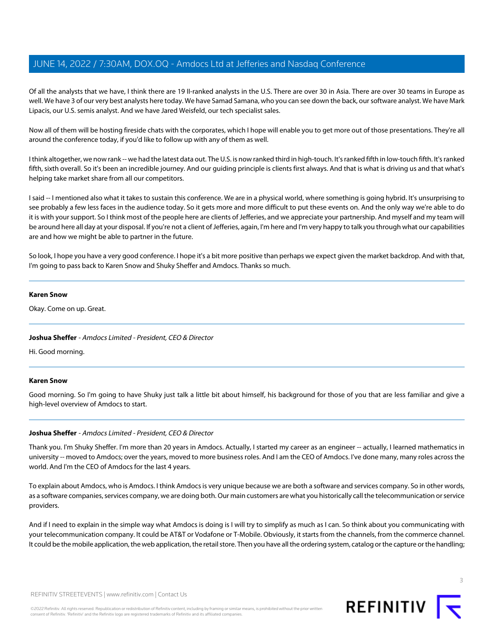Of all the analysts that we have, I think there are 19 II-ranked analysts in the U.S. There are over 30 in Asia. There are over 30 teams in Europe as well. We have 3 of our very best analysts here today. We have Samad Samana, who you can see down the back, our software analyst. We have Mark Lipacis, our U.S. semis analyst. And we have Jared Weisfeld, our tech specialist sales.

Now all of them will be hosting fireside chats with the corporates, which I hope will enable you to get more out of those presentations. They're all around the conference today, if you'd like to follow up with any of them as well.

I think altogether, we now rank -- we had the latest data out. The U.S. is now ranked third in high-touch. It's ranked fifth in low-touch fifth. It's ranked fifth, sixth overall. So it's been an incredible journey. And our guiding principle is clients first always. And that is what is driving us and that what's helping take market share from all our competitors.

I said -- I mentioned also what it takes to sustain this conference. We are in a physical world, where something is going hybrid. It's unsurprising to see probably a few less faces in the audience today. So it gets more and more difficult to put these events on. And the only way we're able to do it is with your support. So I think most of the people here are clients of Jefferies, and we appreciate your partnership. And myself and my team will be around here all day at your disposal. If you're not a client of Jefferies, again, I'm here and I'm very happy to talk you through what our capabilities are and how we might be able to partner in the future.

So look, I hope you have a very good conference. I hope it's a bit more positive than perhaps we expect given the market backdrop. And with that, I'm going to pass back to Karen Snow and Shuky Sheffer and Amdocs. Thanks so much.

### **Karen Snow**

<span id="page-2-0"></span>Okay. Come on up. Great.

# **Joshua Sheffer** - Amdocs Limited - President, CEO & Director

Hi. Good morning.

### **Karen Snow**

Good morning. So I'm going to have Shuky just talk a little bit about himself, his background for those of you that are less familiar and give a high-level overview of Amdocs to start.

# **Joshua Sheffer** - Amdocs Limited - President, CEO & Director

Thank you. I'm Shuky Sheffer. I'm more than 20 years in Amdocs. Actually, I started my career as an engineer -- actually, I learned mathematics in university -- moved to Amdocs; over the years, moved to more business roles. And I am the CEO of Amdocs. I've done many, many roles across the world. And I'm the CEO of Amdocs for the last 4 years.

To explain about Amdocs, who is Amdocs. I think Amdocs is very unique because we are both a software and services company. So in other words, as a software companies, services company, we are doing both. Our main customers are what you historically call the telecommunication or service providers.

And if I need to explain in the simple way what Amdocs is doing is I will try to simplify as much as I can. So think about you communicating with your telecommunication company. It could be AT&T or Vodafone or T-Mobile. Obviously, it starts from the channels, from the commerce channel. It could be the mobile application, the web application, the retail store. Then you have all the ordering system, catalog or the capture or the handling;

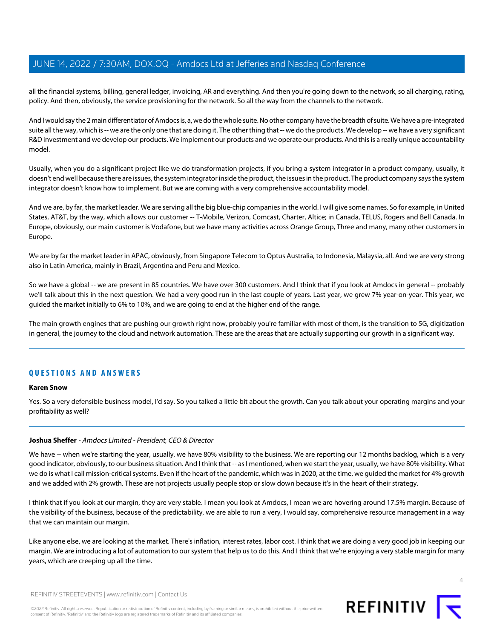all the financial systems, billing, general ledger, invoicing, AR and everything. And then you're going down to the network, so all charging, rating, policy. And then, obviously, the service provisioning for the network. So all the way from the channels to the network.

And I would say the 2 main differentiator of Amdocs is, a, we do the whole suite. No other company have the breadth of suite. We have a pre-integrated suite all the way, which is -- we are the only one that are doing it. The other thing that -- we do the products. We develop -- we have a very significant R&D investment and we develop our products. We implement our products and we operate our products. And this is a really unique accountability model.

Usually, when you do a significant project like we do transformation projects, if you bring a system integrator in a product company, usually, it doesn't end well because there are issues, the system integrator inside the product, the issues in the product. The product company says the system integrator doesn't know how to implement. But we are coming with a very comprehensive accountability model.

And we are, by far, the market leader. We are serving all the big blue-chip companies in the world. I will give some names. So for example, in United States, AT&T, by the way, which allows our customer -- T-Mobile, Verizon, Comcast, Charter, Altice; in Canada, TELUS, Rogers and Bell Canada. In Europe, obviously, our main customer is Vodafone, but we have many activities across Orange Group, Three and many, many other customers in Europe.

We are by far the market leader in APAC, obviously, from Singapore Telecom to Optus Australia, to Indonesia, Malaysia, all. And we are very strong also in Latin America, mainly in Brazil, Argentina and Peru and Mexico.

So we have a global -- we are present in 85 countries. We have over 300 customers. And I think that if you look at Amdocs in general -- probably we'll talk about this in the next question. We had a very good run in the last couple of years. Last year, we grew 7% year-on-year. This year, we guided the market initially to 6% to 10%, and we are going to end at the higher end of the range.

The main growth engines that are pushing our growth right now, probably you're familiar with most of them, is the transition to 5G, digitization in general, the journey to the cloud and network automation. These are the areas that are actually supporting our growth in a significant way.

# **QUESTIONS AND ANSWERS**

### **Karen Snow**

Yes. So a very defensible business model, I'd say. So you talked a little bit about the growth. Can you talk about your operating margins and your profitability as well?

# **Joshua Sheffer** - Amdocs Limited - President, CEO & Director

We have -- when we're starting the year, usually, we have 80% visibility to the business. We are reporting our 12 months backlog, which is a very good indicator, obviously, to our business situation. And I think that -- as I mentioned, when we start the year, usually, we have 80% visibility. What we do is what I call mission-critical systems. Even if the heart of the pandemic, which was in 2020, at the time, we guided the market for 4% growth and we added with 2% growth. These are not projects usually people stop or slow down because it's in the heart of their strategy.

I think that if you look at our margin, they are very stable. I mean you look at Amdocs, I mean we are hovering around 17.5% margin. Because of the visibility of the business, because of the predictability, we are able to run a very, I would say, comprehensive resource management in a way that we can maintain our margin.

Like anyone else, we are looking at the market. There's inflation, interest rates, labor cost. I think that we are doing a very good job in keeping our margin. We are introducing a lot of automation to our system that help us to do this. And I think that we're enjoying a very stable margin for many years, which are creeping up all the time.



REFINITIV STREETEVENTS | [www.refinitiv.com](https://www.refinitiv.com/) | [Contact Us](https://www.refinitiv.com/en/contact-us)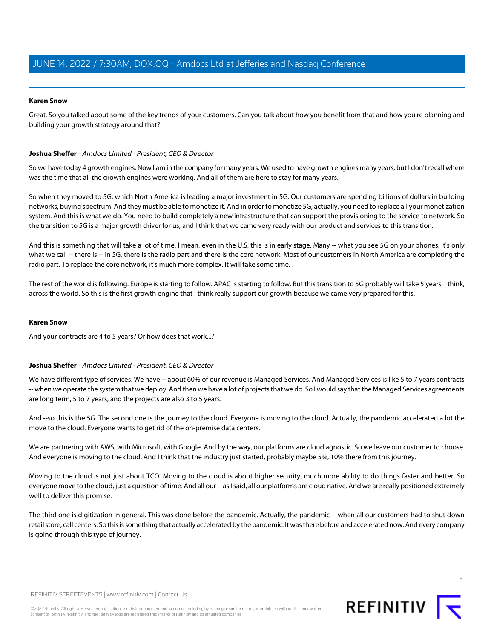### **Karen Snow**

Great. So you talked about some of the key trends of your customers. Can you talk about how you benefit from that and how you're planning and building your growth strategy around that?

### **Joshua Sheffer** - Amdocs Limited - President, CEO & Director

So we have today 4 growth engines. Now I am in the company for many years. We used to have growth engines many years, but I don't recall where was the time that all the growth engines were working. And all of them are here to stay for many years.

So when they moved to 5G, which North America is leading a major investment in 5G. Our customers are spending billions of dollars in building networks, buying spectrum. And they must be able to monetize it. And in order to monetize 5G, actually, you need to replace all your monetization system. And this is what we do. You need to build completely a new infrastructure that can support the provisioning to the service to network. So the transition to 5G is a major growth driver for us, and I think that we came very ready with our product and services to this transition.

And this is something that will take a lot of time. I mean, even in the U.S, this is in early stage. Many -- what you see 5G on your phones, it's only what we call -- there is -- in 5G, there is the radio part and there is the core network. Most of our customers in North America are completing the radio part. To replace the core network, it's much more complex. It will take some time.

The rest of the world is following. Europe is starting to follow. APAC is starting to follow. But this transition to 5G probably will take 5 years, I think, across the world. So this is the first growth engine that I think really support our growth because we came very prepared for this.

### **Karen Snow**

And your contracts are 4 to 5 years? Or how does that work...?

# **Joshua Sheffer** - Amdocs Limited - President, CEO & Director

We have different type of services. We have -- about 60% of our revenue is Managed Services. And Managed Services is like 5 to 7 years contracts -- when we operate the system that we deploy. And then we have a lot of projects that we do. So I would say that the Managed Services agreements are long term, 5 to 7 years, and the projects are also 3 to 5 years.

And --so this is the 5G. The second one is the journey to the cloud. Everyone is moving to the cloud. Actually, the pandemic accelerated a lot the move to the cloud. Everyone wants to get rid of the on-premise data centers.

We are partnering with AWS, with Microsoft, with Google. And by the way, our platforms are cloud agnostic. So we leave our customer to choose. And everyone is moving to the cloud. And I think that the industry just started, probably maybe 5%, 10% there from this journey.

Moving to the cloud is not just about TCO. Moving to the cloud is about higher security, much more ability to do things faster and better. So everyone move to the cloud, just a question of time. And all our -- as I said, all our platforms are cloud native. And we are really positioned extremely well to deliver this promise.

The third one is digitization in general. This was done before the pandemic. Actually, the pandemic -- when all our customers had to shut down retail store, call centers. So this is something that actually accelerated by the pandemic. It was there before and accelerated now. And every company is going through this type of journey.

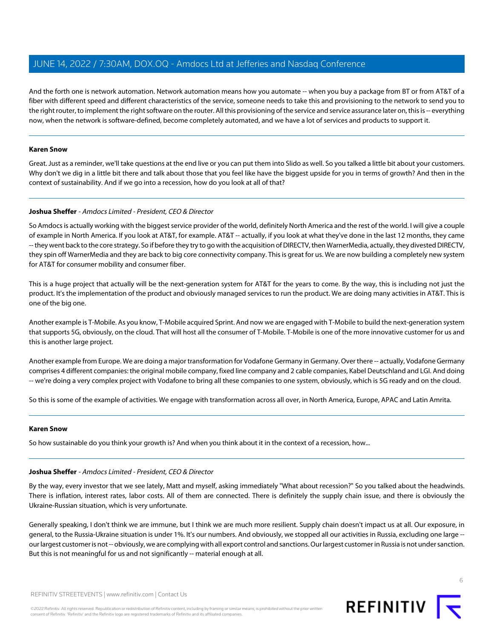And the forth one is network automation. Network automation means how you automate -- when you buy a package from BT or from AT&T of a fiber with different speed and different characteristics of the service, someone needs to take this and provisioning to the network to send you to the right router, to implement the right software on the router. All this provisioning of the service and service assurance later on, this is -- everything now, when the network is software-defined, become completely automated, and we have a lot of services and products to support it.

### **Karen Snow**

Great. Just as a reminder, we'll take questions at the end live or you can put them into Slido as well. So you talked a little bit about your customers. Why don't we dig in a little bit there and talk about those that you feel like have the biggest upside for you in terms of growth? And then in the context of sustainability. And if we go into a recession, how do you look at all of that?

# **Joshua Sheffer** - Amdocs Limited - President, CEO & Director

So Amdocs is actually working with the biggest service provider of the world, definitely North America and the rest of the world. I will give a couple of example in North America. If you look at AT&T, for example. AT&T -- actually, if you look at what they've done in the last 12 months, they came -- they went back to the core strategy. So if before they try to go with the acquisition of DIRECTV, then WarnerMedia, actually, they divested DIRECTV, they spin off WarnerMedia and they are back to big core connectivity company. This is great for us. We are now building a completely new system for AT&T for consumer mobility and consumer fiber.

This is a huge project that actually will be the next-generation system for AT&T for the years to come. By the way, this is including not just the product. It's the implementation of the product and obviously managed services to run the product. We are doing many activities in AT&T. This is one of the big one.

Another example is T-Mobile. As you know, T-Mobile acquired Sprint. And now we are engaged with T-Mobile to build the next-generation system that supports 5G, obviously, on the cloud. That will host all the consumer of T-Mobile. T-Mobile is one of the more innovative customer for us and this is another large project.

Another example from Europe. We are doing a major transformation for Vodafone Germany in Germany. Over there -- actually, Vodafone Germany comprises 4 different companies: the original mobile company, fixed line company and 2 cable companies, Kabel Deutschland and LGI. And doing -- we're doing a very complex project with Vodafone to bring all these companies to one system, obviously, which is 5G ready and on the cloud.

So this is some of the example of activities. We engage with transformation across all over, in North America, Europe, APAC and Latin Amrita.

### **Karen Snow**

So how sustainable do you think your growth is? And when you think about it in the context of a recession, how...

# **Joshua Sheffer** - Amdocs Limited - President, CEO & Director

By the way, every investor that we see lately, Matt and myself, asking immediately "What about recession?" So you talked about the headwinds. There is inflation, interest rates, labor costs. All of them are connected. There is definitely the supply chain issue, and there is obviously the Ukraine-Russian situation, which is very unfortunate.

Generally speaking, I don't think we are immune, but I think we are much more resilient. Supply chain doesn't impact us at all. Our exposure, in general, to the Russia-Ukraine situation is under 1%. It's our numbers. And obviously, we stopped all our activities in Russia, excluding one large - our largest customer is not -- obviously, we are complying with all export control and sanctions. Our largest customer in Russia is not under sanction. But this is not meaningful for us and not significantly -- material enough at all.

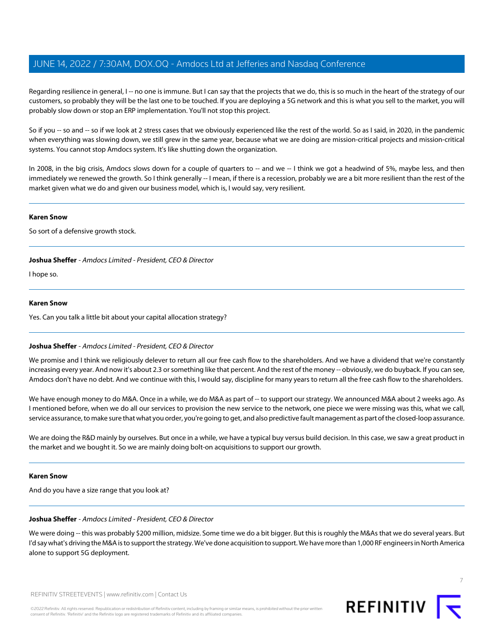Regarding resilience in general, I -- no one is immune. But I can say that the projects that we do, this is so much in the heart of the strategy of our customers, so probably they will be the last one to be touched. If you are deploying a 5G network and this is what you sell to the market, you will probably slow down or stop an ERP implementation. You'll not stop this project.

So if you -- so and -- so if we look at 2 stress cases that we obviously experienced like the rest of the world. So as I said, in 2020, in the pandemic when everything was slowing down, we still grew in the same year, because what we are doing are mission-critical projects and mission-critical systems. You cannot stop Amdocs system. It's like shutting down the organization.

In 2008, in the big crisis, Amdocs slows down for a couple of quarters to -- and we -- I think we got a headwind of 5%, maybe less, and then immediately we renewed the growth. So I think generally -- I mean, if there is a recession, probably we are a bit more resilient than the rest of the market given what we do and given our business model, which is, I would say, very resilient.

### **Karen Snow**

So sort of a defensive growth stock.

# **Joshua Sheffer** - Amdocs Limited - President, CEO & Director

I hope so.

### **Karen Snow**

Yes. Can you talk a little bit about your capital allocation strategy?

# **Joshua Sheffer** - Amdocs Limited - President, CEO & Director

We promise and I think we religiously delever to return all our free cash flow to the shareholders. And we have a dividend that we're constantly increasing every year. And now it's about 2.3 or something like that percent. And the rest of the money -- obviously, we do buyback. If you can see, Amdocs don't have no debt. And we continue with this, I would say, discipline for many years to return all the free cash flow to the shareholders.

We have enough money to do M&A. Once in a while, we do M&A as part of -- to support our strategy. We announced M&A about 2 weeks ago. As I mentioned before, when we do all our services to provision the new service to the network, one piece we were missing was this, what we call, service assurance, to make sure that what you order, you're going to get, and also predictive fault management as part of the closed-loop assurance.

We are doing the R&D mainly by ourselves. But once in a while, we have a typical buy versus build decision. In this case, we saw a great product in the market and we bought it. So we are mainly doing bolt-on acquisitions to support our growth.

### **Karen Snow**

And do you have a size range that you look at?

# **Joshua Sheffer** - Amdocs Limited - President, CEO & Director

We were doing -- this was probably \$200 million, midsize. Some time we do a bit bigger. But this is roughly the M&As that we do several years. But I'd say what's driving the M&A is to support the strategy. We've done acquisition to support. We have more than 1,000 RF engineers in North America alone to support 5G deployment.

REFINITIV STREETEVENTS | [www.refinitiv.com](https://www.refinitiv.com/) | [Contact Us](https://www.refinitiv.com/en/contact-us)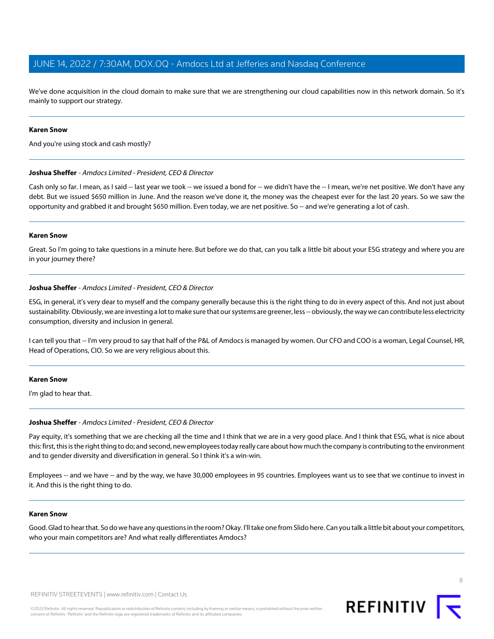We've done acquisition in the cloud domain to make sure that we are strengthening our cloud capabilities now in this network domain. So it's mainly to support our strategy.

### **Karen Snow**

And you're using stock and cash mostly?

### **Joshua Sheffer** - Amdocs Limited - President, CEO & Director

Cash only so far. I mean, as I said -- last year we took -- we issued a bond for -- we didn't have the -- I mean, we're net positive. We don't have any debt. But we issued \$650 million in June. And the reason we've done it, the money was the cheapest ever for the last 20 years. So we saw the opportunity and grabbed it and brought \$650 million. Even today, we are net positive. So -- and we're generating a lot of cash.

### **Karen Snow**

Great. So I'm going to take questions in a minute here. But before we do that, can you talk a little bit about your ESG strategy and where you are in your journey there?

### **Joshua Sheffer** - Amdocs Limited - President, CEO & Director

ESG, in general, it's very dear to myself and the company generally because this is the right thing to do in every aspect of this. And not just about sustainability. Obviously, we are investing a lot to make sure that our systems are greener, less -- obviously, the way we can contribute less electricity consumption, diversity and inclusion in general.

I can tell you that -- I'm very proud to say that half of the P&L of Amdocs is managed by women. Our CFO and COO is a woman, Legal Counsel, HR, Head of Operations, CIO. So we are very religious about this.

### **Karen Snow**

I'm glad to hear that.

# **Joshua Sheffer** - Amdocs Limited - President, CEO & Director

Pay equity, it's something that we are checking all the time and I think that we are in a very good place. And I think that ESG, what is nice about this: first, this is the right thing to do; and second, new employees today really care about how much the company is contributing to the environment and to gender diversity and diversification in general. So I think it's a win-win.

Employees -- and we have -- and by the way, we have 30,000 employees in 95 countries. Employees want us to see that we continue to invest in it. And this is the right thing to do.

# **Karen Snow**

Good. Glad to hear that. So do we have any questions in the room? Okay. I'll take one from Slido here. Can you talk a little bit about your competitors, who your main competitors are? And what really differentiates Amdocs?

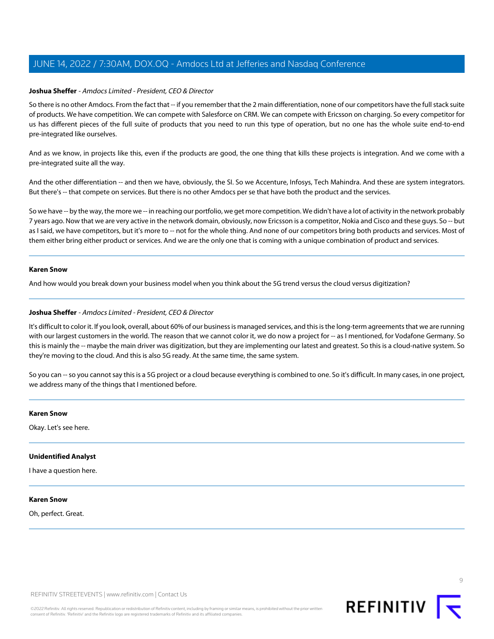### **Joshua Sheffer** - Amdocs Limited - President, CEO & Director

So there is no other Amdocs. From the fact that -- if you remember that the 2 main differentiation, none of our competitors have the full stack suite of products. We have competition. We can compete with Salesforce on CRM. We can compete with Ericsson on charging. So every competitor for us has different pieces of the full suite of products that you need to run this type of operation, but no one has the whole suite end-to-end pre-integrated like ourselves.

And as we know, in projects like this, even if the products are good, the one thing that kills these projects is integration. And we come with a pre-integrated suite all the way.

And the other differentiation -- and then we have, obviously, the SI. So we Accenture, Infosys, Tech Mahindra. And these are system integrators. But there's -- that compete on services. But there is no other Amdocs per se that have both the product and the services.

So we have -- by the way, the more we -- in reaching our portfolio, we get more competition. We didn't have a lot of activity in the network probably 7 years ago. Now that we are very active in the network domain, obviously, now Ericsson is a competitor, Nokia and Cisco and these guys. So -- but as I said, we have competitors, but it's more to -- not for the whole thing. And none of our competitors bring both products and services. Most of them either bring either product or services. And we are the only one that is coming with a unique combination of product and services.

### **Karen Snow**

And how would you break down your business model when you think about the 5G trend versus the cloud versus digitization?

### **Joshua Sheffer** - Amdocs Limited - President, CEO & Director

It's difficult to color it. If you look, overall, about 60% of our business is managed services, and this is the long-term agreements that we are running with our largest customers in the world. The reason that we cannot color it, we do now a project for -- as I mentioned, for Vodafone Germany. So this is mainly the -- maybe the main driver was digitization, but they are implementing our latest and greatest. So this is a cloud-native system. So they're moving to the cloud. And this is also 5G ready. At the same time, the same system.

So you can -- so you cannot say this is a 5G project or a cloud because everything is combined to one. So it's difficult. In many cases, in one project, we address many of the things that I mentioned before.

### **Karen Snow**

Okay. Let's see here.

### **Unidentified Analyst**

I have a question here.

### **Karen Snow**

Oh, perfect. Great.

REFINITIV STREETEVENTS | [www.refinitiv.com](https://www.refinitiv.com/) | [Contact Us](https://www.refinitiv.com/en/contact-us)

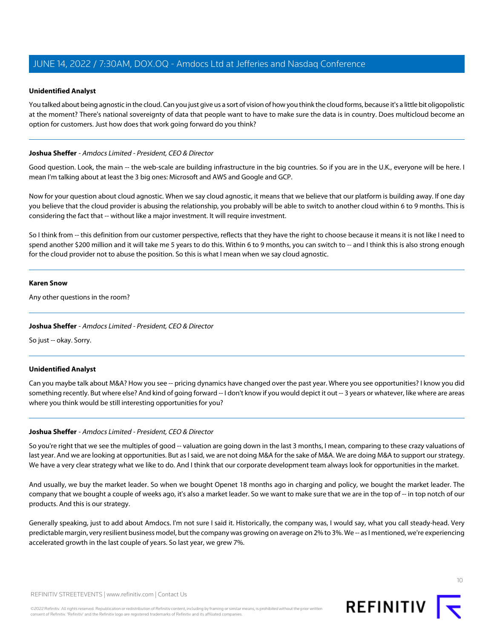### **Unidentified Analyst**

You talked about being agnostic in the cloud. Can you just give us a sort of vision of how you think the cloud forms, because it's a little bit oligopolistic at the moment? There's national sovereignty of data that people want to have to make sure the data is in country. Does multicloud become an option for customers. Just how does that work going forward do you think?

### **Joshua Sheffer** - Amdocs Limited - President, CEO & Director

Good question. Look, the main -- the web-scale are building infrastructure in the big countries. So if you are in the U.K., everyone will be here. I mean I'm talking about at least the 3 big ones: Microsoft and AWS and Google and GCP.

Now for your question about cloud agnostic. When we say cloud agnostic, it means that we believe that our platform is building away. If one day you believe that the cloud provider is abusing the relationship, you probably will be able to switch to another cloud within 6 to 9 months. This is considering the fact that -- without like a major investment. It will require investment.

So I think from -- this definition from our customer perspective, reflects that they have the right to choose because it means it is not like I need to spend another \$200 million and it will take me 5 years to do this. Within 6 to 9 months, you can switch to -- and I think this is also strong enough for the cloud provider not to abuse the position. So this is what I mean when we say cloud agnostic.

### **Karen Snow**

Any other questions in the room?

# **Joshua Sheffer** - Amdocs Limited - President, CEO & Director

So just -- okay. Sorry.

# **Unidentified Analyst**

Can you maybe talk about M&A? How you see -- pricing dynamics have changed over the past year. Where you see opportunities? I know you did something recently. But where else? And kind of going forward -- I don't know if you would depict it out -- 3 years or whatever, like where are areas where you think would be still interesting opportunities for you?

### **Joshua Sheffer** - Amdocs Limited - President, CEO & Director

So you're right that we see the multiples of good -- valuation are going down in the last 3 months, I mean, comparing to these crazy valuations of last year. And we are looking at opportunities. But as I said, we are not doing M&A for the sake of M&A. We are doing M&A to support our strategy. We have a very clear strategy what we like to do. And I think that our corporate development team always look for opportunities in the market.

And usually, we buy the market leader. So when we bought Openet 18 months ago in charging and policy, we bought the market leader. The company that we bought a couple of weeks ago, it's also a market leader. So we want to make sure that we are in the top of -- in top notch of our products. And this is our strategy.

Generally speaking, just to add about Amdocs. I'm not sure I said it. Historically, the company was, I would say, what you call steady-head. Very predictable margin, very resilient business model, but the company was growing on average on 2% to 3%. We -- as I mentioned, we're experiencing accelerated growth in the last couple of years. So last year, we grew 7%.